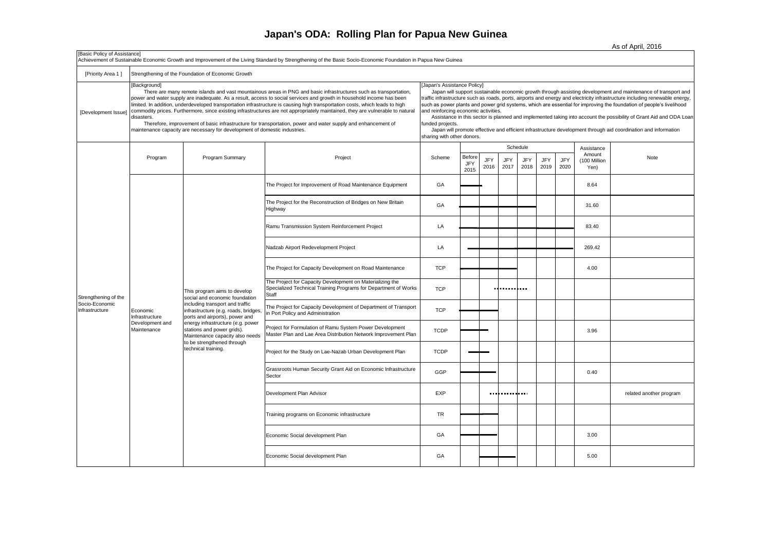## **Japan's ODA: Rolling Plan for Papua New Guinea**

As of April, 2016

| [Basic Policy of Assistance]<br>Achievement of Sustainable Economic Growth and Improvement of the Living Standard by Strengthening of the Basic Socio-Economic Foundation in Papua New Guinea |                                                              |                                                                                                                                                                                                                                                                                                                                                                                                                                                                                                                                                                                                                                                                                                            |                                                                                                                                                                                                                                                                                                                                                                                                                                                                                                                                                                                                                                                                                                                                      |             |                       |                    |                    |                                |                    |             |                                              |                         |
|-----------------------------------------------------------------------------------------------------------------------------------------------------------------------------------------------|--------------------------------------------------------------|------------------------------------------------------------------------------------------------------------------------------------------------------------------------------------------------------------------------------------------------------------------------------------------------------------------------------------------------------------------------------------------------------------------------------------------------------------------------------------------------------------------------------------------------------------------------------------------------------------------------------------------------------------------------------------------------------------|--------------------------------------------------------------------------------------------------------------------------------------------------------------------------------------------------------------------------------------------------------------------------------------------------------------------------------------------------------------------------------------------------------------------------------------------------------------------------------------------------------------------------------------------------------------------------------------------------------------------------------------------------------------------------------------------------------------------------------------|-------------|-----------------------|--------------------|--------------------|--------------------------------|--------------------|-------------|----------------------------------------------|-------------------------|
| [Priority Area 1]                                                                                                                                                                             | Strengthening of the Foundation of Economic Growth           |                                                                                                                                                                                                                                                                                                                                                                                                                                                                                                                                                                                                                                                                                                            |                                                                                                                                                                                                                                                                                                                                                                                                                                                                                                                                                                                                                                                                                                                                      |             |                       |                    |                    |                                |                    |             |                                              |                         |
| [Development Issue]                                                                                                                                                                           | [Background]<br>disasters.                                   | There are many remote islands and vast mountainous areas in PNG and basic infrastructures such as transportation,<br>power and water supply are inadequate. As a result, access to social services and growth in household income has been<br>limited. In addition, underdeveloped transportation infrastructure is causing high transportation costs, which leads to high<br>commodity prices. Furthermore, since existing infrastructures are not appropriately maintained, they are vulnerable to natural<br>Therefore, improvement of basic infrastructure for transportation, power and water supply and enhancement of<br>maintenance capacity are necessary for development of domestic industries. | Japan's Assistance Policy]<br>Japan will support sustainable economic growth through assisting development and maintenance of transport and<br>traffic infrastructure such as roads, ports, airports and energy and electricity infrastructure including renewable energy,<br>such as power plants and power grid systems, which are essential for improving the foundation of people's livelihood<br>and reinforcing economic activities.<br>Assistance in this sector is planned and implemented taking into account the possibility of Grant Aid and ODA Loan<br>funded projects.<br>Japan will promote effective and efficient infrastructure development through aid coordination and information<br>sharing with other donors. |             |                       |                    |                    |                                |                    |             |                                              |                         |
|                                                                                                                                                                                               | Program                                                      | Program Summary                                                                                                                                                                                                                                                                                                                                                                                                                                                                                                                                                                                                                                                                                            | Project                                                                                                                                                                                                                                                                                                                                                                                                                                                                                                                                                                                                                                                                                                                              | Scheme      | Before<br>JFY<br>2015 | <b>JFY</b><br>2016 | <b>JFY</b><br>2017 | Schedule<br><b>JFY</b><br>2018 | <b>JFY</b><br>2019 | JFY<br>2020 | Assistance<br>Amount<br>(100 Million<br>Yen) | Note                    |
|                                                                                                                                                                                               | Economic<br>Infrastructure<br>Development and<br>Maintenance |                                                                                                                                                                                                                                                                                                                                                                                                                                                                                                                                                                                                                                                                                                            | The Project for Improvement of Road Maintenance Equipment                                                                                                                                                                                                                                                                                                                                                                                                                                                                                                                                                                                                                                                                            | GA          |                       |                    |                    |                                |                    |             | 8.64                                         |                         |
|                                                                                                                                                                                               |                                                              |                                                                                                                                                                                                                                                                                                                                                                                                                                                                                                                                                                                                                                                                                                            | The Project for the Reconstruction of Bridges on New Britain<br>Highway                                                                                                                                                                                                                                                                                                                                                                                                                                                                                                                                                                                                                                                              | GA          |                       |                    |                    |                                |                    |             | 31.60                                        |                         |
|                                                                                                                                                                                               |                                                              |                                                                                                                                                                                                                                                                                                                                                                                                                                                                                                                                                                                                                                                                                                            | Ramu Transmission System Reinforcement Project                                                                                                                                                                                                                                                                                                                                                                                                                                                                                                                                                                                                                                                                                       | LA          |                       |                    |                    |                                |                    | 83.40       |                                              |                         |
|                                                                                                                                                                                               |                                                              | This program aims to develop<br>social and economic foundation<br>including transport and traffic<br>infrastructure (e.g. roads, bridges<br>ports and airports), power and<br>energy infrastructure (e.g. power<br>stations and power grids).<br>Maintenance capacity also needs<br>to be strengthened through<br>technical training.                                                                                                                                                                                                                                                                                                                                                                      | Nadzab Airport Redevelopment Project                                                                                                                                                                                                                                                                                                                                                                                                                                                                                                                                                                                                                                                                                                 | LA          |                       |                    |                    |                                |                    |             | 269.42                                       |                         |
|                                                                                                                                                                                               |                                                              |                                                                                                                                                                                                                                                                                                                                                                                                                                                                                                                                                                                                                                                                                                            | The Project for Capacity Development on Road Maintenance                                                                                                                                                                                                                                                                                                                                                                                                                                                                                                                                                                                                                                                                             | <b>TCP</b>  |                       |                    |                    |                                |                    |             | 4.00                                         |                         |
| Strengthening of the                                                                                                                                                                          |                                                              |                                                                                                                                                                                                                                                                                                                                                                                                                                                                                                                                                                                                                                                                                                            | The Project for Capacity Development on Materializing the<br>Specialized Technical Training Programs for Department of Works<br>Staff                                                                                                                                                                                                                                                                                                                                                                                                                                                                                                                                                                                                | <b>TCP</b>  |                       |                    |                    |                                |                    |             |                                              |                         |
| Socio-Economic<br>Infrastructure                                                                                                                                                              |                                                              |                                                                                                                                                                                                                                                                                                                                                                                                                                                                                                                                                                                                                                                                                                            | The Project for Capacity Development of Department of Transport<br>n Port Policy and Administration                                                                                                                                                                                                                                                                                                                                                                                                                                                                                                                                                                                                                                  | <b>TCP</b>  |                       |                    |                    |                                |                    |             |                                              |                         |
|                                                                                                                                                                                               |                                                              |                                                                                                                                                                                                                                                                                                                                                                                                                                                                                                                                                                                                                                                                                                            | Project for Formulation of Ramu System Power Development<br>Master Plan and Lae Area Distribution Network Improvement Plan                                                                                                                                                                                                                                                                                                                                                                                                                                                                                                                                                                                                           | <b>TCDP</b> |                       |                    |                    |                                |                    |             | 3.96                                         |                         |
|                                                                                                                                                                                               |                                                              |                                                                                                                                                                                                                                                                                                                                                                                                                                                                                                                                                                                                                                                                                                            | Project for the Study on Lae-Nazab Urban Development Plan                                                                                                                                                                                                                                                                                                                                                                                                                                                                                                                                                                                                                                                                            | <b>TCDP</b> |                       |                    |                    |                                |                    |             |                                              |                         |
|                                                                                                                                                                                               |                                                              |                                                                                                                                                                                                                                                                                                                                                                                                                                                                                                                                                                                                                                                                                                            | Grassroots Human Security Grant Aid on Economic Infrastructure<br>Sector                                                                                                                                                                                                                                                                                                                                                                                                                                                                                                                                                                                                                                                             | GGP         |                       |                    |                    |                                |                    |             | 0.40                                         |                         |
|                                                                                                                                                                                               |                                                              |                                                                                                                                                                                                                                                                                                                                                                                                                                                                                                                                                                                                                                                                                                            | Development Plan Advisor                                                                                                                                                                                                                                                                                                                                                                                                                                                                                                                                                                                                                                                                                                             | EXP         |                       |                    | <b></b>            |                                |                    |             |                                              | related another program |
|                                                                                                                                                                                               |                                                              |                                                                                                                                                                                                                                                                                                                                                                                                                                                                                                                                                                                                                                                                                                            | Training programs on Economic infrastructure                                                                                                                                                                                                                                                                                                                                                                                                                                                                                                                                                                                                                                                                                         | <b>TR</b>   |                       |                    |                    |                                |                    |             |                                              |                         |
|                                                                                                                                                                                               |                                                              |                                                                                                                                                                                                                                                                                                                                                                                                                                                                                                                                                                                                                                                                                                            | Economic Social development Plan                                                                                                                                                                                                                                                                                                                                                                                                                                                                                                                                                                                                                                                                                                     | GA          |                       |                    |                    |                                |                    |             | 3.00                                         |                         |
|                                                                                                                                                                                               |                                                              |                                                                                                                                                                                                                                                                                                                                                                                                                                                                                                                                                                                                                                                                                                            | Economic Social development Plan                                                                                                                                                                                                                                                                                                                                                                                                                                                                                                                                                                                                                                                                                                     | GA          |                       |                    |                    |                                |                    |             | 5.00                                         |                         |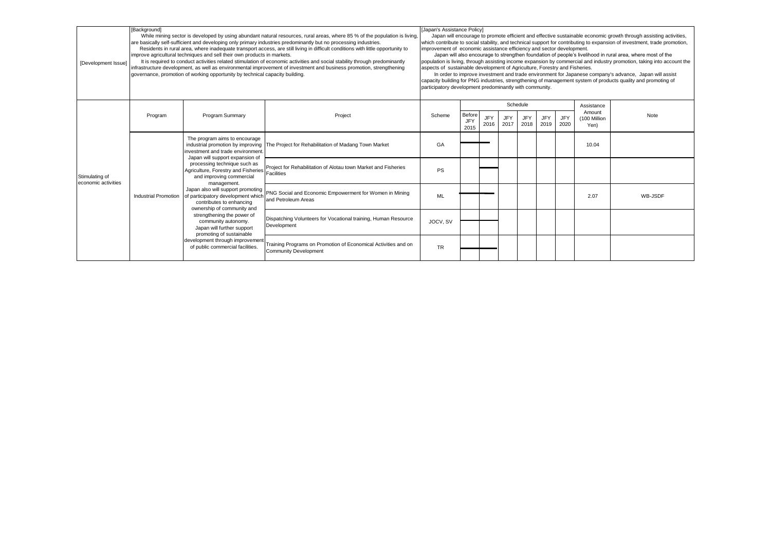| [Development Issue]                   | [Background]         | While mining sector is developed by using abundant natural resources, rural areas, where 85 % of the population is living,<br>are basically self-sufficient and developing only primary industries predominantly but no processing industries.<br>Residents in rural area, where inadequate transport access, are still living in difficult conditions with little opportunity to<br>improve agricultural techniques and sell their own products in markets.<br>It is required to conduct activities related stimulation of economic activities and social stability through predominantly<br>infrastructure development, as well as environmental improvement of investment and business promotion, strengthening<br>governance, promotion of working opportunity by technical capacity building. | [Japan's Assistance Policy]<br>Japan will encourage to promote efficient and effective sustainable economic growth through assisting activities,<br>which contribute to social stability, and technical support for contributing to expansion of investment, trade promotion,<br>improvement of economic assistance efficiency and sector development.<br>Japan will also encourage to strengthen foundation of people's livelihood in rural area, where most of the<br>population is living, through assisting income expansion by commercial and industry promotion, taking into account the<br>aspects of sustainable development of Agriculture, Forestry and Fisheries.<br>In order to improve investment and trade environment for Japanese company's advance, Japan will assist<br>capacity building for PNG industries, strengthening of management system of products quality and promoting of<br>participatory development predominantly with community. |           |                       |                    |                    |                    |                    |                    |                      |         |
|---------------------------------------|----------------------|----------------------------------------------------------------------------------------------------------------------------------------------------------------------------------------------------------------------------------------------------------------------------------------------------------------------------------------------------------------------------------------------------------------------------------------------------------------------------------------------------------------------------------------------------------------------------------------------------------------------------------------------------------------------------------------------------------------------------------------------------------------------------------------------------|--------------------------------------------------------------------------------------------------------------------------------------------------------------------------------------------------------------------------------------------------------------------------------------------------------------------------------------------------------------------------------------------------------------------------------------------------------------------------------------------------------------------------------------------------------------------------------------------------------------------------------------------------------------------------------------------------------------------------------------------------------------------------------------------------------------------------------------------------------------------------------------------------------------------------------------------------------------------|-----------|-----------------------|--------------------|--------------------|--------------------|--------------------|--------------------|----------------------|---------|
|                                       |                      |                                                                                                                                                                                                                                                                                                                                                                                                                                                                                                                                                                                                                                                                                                                                                                                                    |                                                                                                                                                                                                                                                                                                                                                                                                                                                                                                                                                                                                                                                                                                                                                                                                                                                                                                                                                                    |           |                       |                    | Schedule           |                    |                    |                    | Assistance<br>Amount |         |
| Stimulating of<br>economic activities | Program              | Program Summary                                                                                                                                                                                                                                                                                                                                                                                                                                                                                                                                                                                                                                                                                                                                                                                    | Project                                                                                                                                                                                                                                                                                                                                                                                                                                                                                                                                                                                                                                                                                                                                                                                                                                                                                                                                                            | Scheme    | Before<br>JFY<br>2015 | <b>JFY</b><br>2016 | <b>JFY</b><br>2017 | <b>JFY</b><br>2018 | <b>JFY</b><br>2019 | <b>JFY</b><br>2020 | (100 Million<br>Yen) | Note    |
|                                       | Industrial Promotion | The program aims to encourage<br>investment and trade environment.<br>Japan will support expansion of                                                                                                                                                                                                                                                                                                                                                                                                                                                                                                                                                                                                                                                                                              | industrial promotion by improving   The Project for Rehabilitation of Madang Town Market                                                                                                                                                                                                                                                                                                                                                                                                                                                                                                                                                                                                                                                                                                                                                                                                                                                                           | GA        |                       |                    |                    |                    |                    |                    | 10.04                |         |
|                                       |                      | processing technique such as<br>Agriculture, Forestry and Fisheries<br>and improving commercial<br>management.<br>Japan also will support promoting<br>of participatory development which<br>contributes to enhancing<br>ownership of community and<br>strengthening the power of<br>community autonomy.                                                                                                                                                                                                                                                                                                                                                                                                                                                                                           | Project for Rehabilitation of Alotau town Market and Fisheries<br><b>Facilities</b>                                                                                                                                                                                                                                                                                                                                                                                                                                                                                                                                                                                                                                                                                                                                                                                                                                                                                | <b>PS</b> |                       |                    |                    |                    |                    |                    |                      |         |
|                                       |                      |                                                                                                                                                                                                                                                                                                                                                                                                                                                                                                                                                                                                                                                                                                                                                                                                    | PNG Social and Economic Empowerment for Women in Mining<br>and Petroleum Areas                                                                                                                                                                                                                                                                                                                                                                                                                                                                                                                                                                                                                                                                                                                                                                                                                                                                                     | <b>ML</b> |                       |                    |                    |                    |                    |                    | 2.07                 | WB-JSDF |
|                                       |                      |                                                                                                                                                                                                                                                                                                                                                                                                                                                                                                                                                                                                                                                                                                                                                                                                    | Dispatching Volunteers for Vocational training, Human Resource                                                                                                                                                                                                                                                                                                                                                                                                                                                                                                                                                                                                                                                                                                                                                                                                                                                                                                     | JOCV, SV  |                       |                    |                    |                    |                    |                    |                      |         |
|                                       |                      | Japan will further support<br>promoting of sustainable                                                                                                                                                                                                                                                                                                                                                                                                                                                                                                                                                                                                                                                                                                                                             | Development                                                                                                                                                                                                                                                                                                                                                                                                                                                                                                                                                                                                                                                                                                                                                                                                                                                                                                                                                        |           |                       |                    |                    |                    |                    |                    |                      |         |
|                                       |                      | development through improvement<br>of public commercial facilities.                                                                                                                                                                                                                                                                                                                                                                                                                                                                                                                                                                                                                                                                                                                                | Training Programs on Promotion of Economical Activities and on<br><b>Community Development</b>                                                                                                                                                                                                                                                                                                                                                                                                                                                                                                                                                                                                                                                                                                                                                                                                                                                                     | <b>TR</b> |                       |                    |                    |                    |                    |                    |                      |         |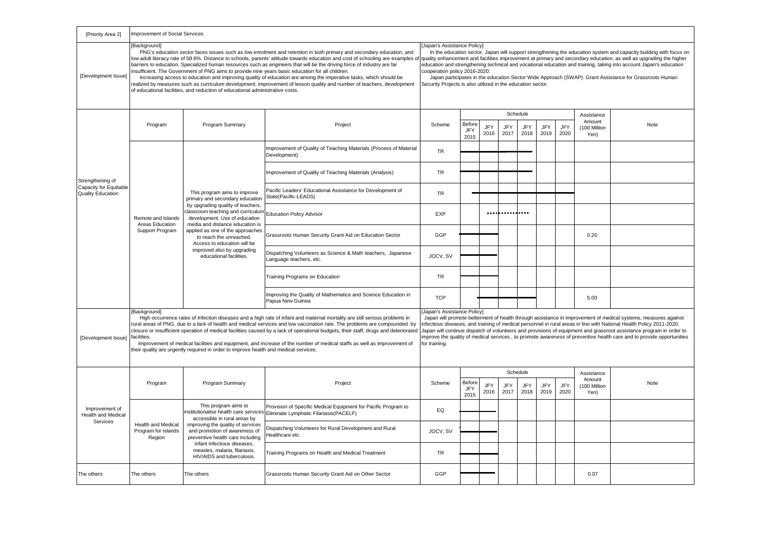| [Priority Area 2]                                               | Improvement of Social Services                                                                                                                                                                                                                                                                                                                                                                                                                                                                                                                                                                                                                                                                                                                                                                                                                                                                                                                                                                                                                                                                                                                                                                                                                                                                                                                                                                                                                  |                                                                                                                                                                                                                                                              |                                                                                                                                                |            |                              |                    |             |                    |                    |                    |                                              |      |
|-----------------------------------------------------------------|-------------------------------------------------------------------------------------------------------------------------------------------------------------------------------------------------------------------------------------------------------------------------------------------------------------------------------------------------------------------------------------------------------------------------------------------------------------------------------------------------------------------------------------------------------------------------------------------------------------------------------------------------------------------------------------------------------------------------------------------------------------------------------------------------------------------------------------------------------------------------------------------------------------------------------------------------------------------------------------------------------------------------------------------------------------------------------------------------------------------------------------------------------------------------------------------------------------------------------------------------------------------------------------------------------------------------------------------------------------------------------------------------------------------------------------------------|--------------------------------------------------------------------------------------------------------------------------------------------------------------------------------------------------------------------------------------------------------------|------------------------------------------------------------------------------------------------------------------------------------------------|------------|------------------------------|--------------------|-------------|--------------------|--------------------|--------------------|----------------------------------------------|------|
| [Development Issue]                                             | Background<br>[Japan's Assistance Policy]<br>PNG's education sector faces issues such as low enrolment and retention in both primary and secondary education, and<br>In the education sector, Japan will support strengthening the education system and capacity building with focus on<br>low adult literacy rate of 58.6%. Distance to schools, parents' attitude towards education and cost of schooling are examples of<br>quality enhancement and facilities improvement at primary and secondary education, as well as upgrading the higher<br>barriers to education. Specialized human resources such as engineers that will be the driving force of industry are far<br>education and strengthening technical and vocational education and training, taking into account Japan's education<br>nsufficient. The Government of PNG aims to provide nine years basic education for all children.<br>cooperation policy 2016-2020.<br>Increasing access to education and improving quality of education are among the imperative tasks, which should be<br>Japan participates in the education Sector Wide Approach (SWAP). Grant Assistance for Grassroots Human<br>realized by measures such as curriculum development, improvement of lesson quality and number of teachers, development<br>Security Projects is also utilized in the education sector.<br>of educational facilities, and reduction of educational administrative costs. |                                                                                                                                                                                                                                                              |                                                                                                                                                |            |                              |                    |             |                    |                    |                    |                                              |      |
|                                                                 |                                                                                                                                                                                                                                                                                                                                                                                                                                                                                                                                                                                                                                                                                                                                                                                                                                                                                                                                                                                                                                                                                                                                                                                                                                                                                                                                                                                                                                                 |                                                                                                                                                                                                                                                              |                                                                                                                                                |            |                              |                    |             | Schedule           |                    |                    | Assistance                                   |      |
| Strengthening of<br>Capacity for Equitable<br>Quality Education | Program                                                                                                                                                                                                                                                                                                                                                                                                                                                                                                                                                                                                                                                                                                                                                                                                                                                                                                                                                                                                                                                                                                                                                                                                                                                                                                                                                                                                                                         | Program Summary                                                                                                                                                                                                                                              | Project                                                                                                                                        | Scheme     | Before<br>JFY<br>2015        | <b>JFY</b><br>2016 | JFY<br>2017 | <b>JFY</b><br>2018 | <b>JFY</b><br>2019 | <b>JFY</b><br>2020 | Amount<br>(100 Million<br>Yen)               | Note |
|                                                                 | Remote and Islands<br>Areas Education<br>Support Program                                                                                                                                                                                                                                                                                                                                                                                                                                                                                                                                                                                                                                                                                                                                                                                                                                                                                                                                                                                                                                                                                                                                                                                                                                                                                                                                                                                        |                                                                                                                                                                                                                                                              | Improvement of Quality of Teaching Materials (Process of Material<br>Development)                                                              | <b>TR</b>  |                              |                    |             |                    |                    |                    |                                              |      |
|                                                                 |                                                                                                                                                                                                                                                                                                                                                                                                                                                                                                                                                                                                                                                                                                                                                                                                                                                                                                                                                                                                                                                                                                                                                                                                                                                                                                                                                                                                                                                 |                                                                                                                                                                                                                                                              | Improvement of Quality of Teaching Materials (Analysis)                                                                                        | <b>TR</b>  |                              |                    |             |                    |                    |                    |                                              |      |
|                                                                 |                                                                                                                                                                                                                                                                                                                                                                                                                                                                                                                                                                                                                                                                                                                                                                                                                                                                                                                                                                                                                                                                                                                                                                                                                                                                                                                                                                                                                                                 | This program aims to improve<br>primary and secondary education<br>by upgrading quality of teachers,                                                                                                                                                         | Pacific Leaders' Educational Assistance for Development of<br><b>TR</b><br>State(Pacific-LEADS)                                                |            |                              |                    |             |                    |                    |                    |                                              |      |
|                                                                 |                                                                                                                                                                                                                                                                                                                                                                                                                                                                                                                                                                                                                                                                                                                                                                                                                                                                                                                                                                                                                                                                                                                                                                                                                                                                                                                                                                                                                                                 | classroom teaching and curriculum<br>development. Use of education<br>media and distance education is<br>applied as one of the approaches<br>to reach the unreached.<br>Access to education will be<br>improved also by upgrading<br>educational facilities. | <b>Education Policy Advisor</b>                                                                                                                | EXP        |                              |                    |             | .                  |                    |                    |                                              |      |
|                                                                 |                                                                                                                                                                                                                                                                                                                                                                                                                                                                                                                                                                                                                                                                                                                                                                                                                                                                                                                                                                                                                                                                                                                                                                                                                                                                                                                                                                                                                                                 |                                                                                                                                                                                                                                                              | Grassroots Human Security Grant Aid on Education Sector                                                                                        | GGP        |                              |                    |             |                    |                    |                    | 0.20                                         |      |
|                                                                 |                                                                                                                                                                                                                                                                                                                                                                                                                                                                                                                                                                                                                                                                                                                                                                                                                                                                                                                                                                                                                                                                                                                                                                                                                                                                                                                                                                                                                                                 |                                                                                                                                                                                                                                                              | Dispatching Volunteers as Science & Math teachers, Japanese<br>Language teachers, etc.                                                         | JOCV, SV   |                              |                    |             |                    |                    |                    |                                              |      |
|                                                                 |                                                                                                                                                                                                                                                                                                                                                                                                                                                                                                                                                                                                                                                                                                                                                                                                                                                                                                                                                                                                                                                                                                                                                                                                                                                                                                                                                                                                                                                 |                                                                                                                                                                                                                                                              | Training Programs on Education                                                                                                                 | <b>TR</b>  |                              |                    |             |                    |                    |                    |                                              |      |
|                                                                 |                                                                                                                                                                                                                                                                                                                                                                                                                                                                                                                                                                                                                                                                                                                                                                                                                                                                                                                                                                                                                                                                                                                                                                                                                                                                                                                                                                                                                                                 |                                                                                                                                                                                                                                                              | Improving the Quality of Mathematice and Science Education in<br>Papua New Guinea                                                              | <b>TCP</b> |                              |                    |             |                    |                    |                    | 5.00                                         |      |
| [Development Issue]                                             | [Background]<br>Japan's Assistance Policy]<br>High occurrence rates of Infection diseases and a high rate of infant and maternal mortality are still serious problems in<br>Japan will promote betterment of health through assistance in improvement of medical systems, measures against<br>rural areas of PNG, due to a lack of health and medical services and low vaccination rate. The problems are compounded by<br>infectious diseases, and training of medical personnel in rural areas in line with National Health Policy 2011-2020.<br>closure or insufficient operation of medical facilities caused by a lack of operational budgets, their staff, drugs and deteriorated<br>Japan will continue dispatch of volunteers and provisions of equipment and grassroot assistance program in order to<br>improve the quality of medical services, to promote awareness of preventive health care and to provide opportunities<br>facilities.<br>Improvement of medical facilities and equipment, and increase of the number of medical staffs as well as improvement of<br>for training.<br>their quality are urgently required in order to improve health and medical services.                                                                                                                                                                                                                                                       |                                                                                                                                                                                                                                                              |                                                                                                                                                |            |                              |                    |             |                    |                    |                    |                                              |      |
|                                                                 |                                                                                                                                                                                                                                                                                                                                                                                                                                                                                                                                                                                                                                                                                                                                                                                                                                                                                                                                                                                                                                                                                                                                                                                                                                                                                                                                                                                                                                                 |                                                                                                                                                                                                                                                              |                                                                                                                                                |            |                              |                    |             | Schedule           |                    |                    | Assistance<br>Amount<br>(100 Million<br>Yen) | Note |
|                                                                 | Program                                                                                                                                                                                                                                                                                                                                                                                                                                                                                                                                                                                                                                                                                                                                                                                                                                                                                                                                                                                                                                                                                                                                                                                                                                                                                                                                                                                                                                         | Program Summary                                                                                                                                                                                                                                              | Project                                                                                                                                        | Scheme     | Before<br><b>JFY</b><br>2015 | JFY<br>2016        | JFY<br>2017 | <b>JFY</b><br>2018 | <b>JFY</b><br>2019 | JFY<br>2020        |                                              |      |
| Improvement of<br><b>Health and Medical</b><br>Services         |                                                                                                                                                                                                                                                                                                                                                                                                                                                                                                                                                                                                                                                                                                                                                                                                                                                                                                                                                                                                                                                                                                                                                                                                                                                                                                                                                                                                                                                 | This program aims to<br>accessible in rural areas by                                                                                                                                                                                                         | Provision of Specific Medical Equipment for Pacific Program to<br>institutionalise health care services Eliminate Lymphatic Filariasis(PACELF) | EQ         |                              |                    |             |                    |                    |                    |                                              |      |
|                                                                 | Health and Medical<br>Program for Islands<br>Region                                                                                                                                                                                                                                                                                                                                                                                                                                                                                                                                                                                                                                                                                                                                                                                                                                                                                                                                                                                                                                                                                                                                                                                                                                                                                                                                                                                             | improving the quality of services<br>and promotion of awareness of<br>preventive health care including<br>infant infectious diseases.<br>measles, malaria, filariasis,<br>HIV/AIDS and tuberculosis.                                                         | Dispatching Volunteers for Rural Development and Rural<br>Healthcare etc.                                                                      | JOCV, SV   |                              |                    |             |                    |                    |                    |                                              |      |
|                                                                 |                                                                                                                                                                                                                                                                                                                                                                                                                                                                                                                                                                                                                                                                                                                                                                                                                                                                                                                                                                                                                                                                                                                                                                                                                                                                                                                                                                                                                                                 |                                                                                                                                                                                                                                                              | Training Programs on Health and Medical Treatment                                                                                              | <b>TR</b>  |                              |                    |             |                    |                    |                    |                                              |      |
| The others                                                      | The others                                                                                                                                                                                                                                                                                                                                                                                                                                                                                                                                                                                                                                                                                                                                                                                                                                                                                                                                                                                                                                                                                                                                                                                                                                                                                                                                                                                                                                      | The others                                                                                                                                                                                                                                                   | Grassroots Human Security Grant Aid on Other Sector                                                                                            | GGP        |                              |                    |             |                    |                    |                    | 0.07                                         |      |